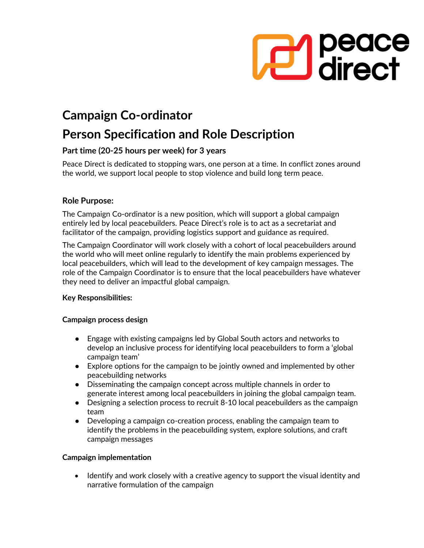

# **Campaign Co-ordinator**

## **Person Specification and Role Description**

## **Part time (20-25 hours per week) for 3 years**

Peace Direct is dedicated to stopping wars, one person at a time. In conflict zones around the world, we support local people to stop violence and build long term peace.

## **Role Purpose:**

The Campaign Co-ordinator is a new position, which will support a global campaign entirely led by local peacebuilders. Peace Direct's role is to act as a secretariat and facilitator of the campaign, providing logistics support and guidance as required.

The Campaign Coordinator will work closely with a cohort of local peacebuilders around the world who will meet online regularly to identify the main problems experienced by local peacebuilders, which will lead to the development of key campaign messages. The role of the Campaign Coordinator is to ensure that the local peacebuilders have whatever they need to deliver an impactful global campaign.

## **Key Responsibilities:**

#### **Campaign process design**

- Engage with existing campaigns led by Global South actors and networks to develop an inclusive process for identifying local peacebuilders to form a 'global campaign team'
- Explore options for the campaign to be jointly owned and implemented by other peacebuilding networks
- Disseminating the campaign concept across multiple channels in order to generate interest among local peacebuilders in joining the global campaign team.
- Designing a selection process to recruit 8-10 local peacebuilders as the campaign team
- Developing a campaign co-creation process, enabling the campaign team to identify the problems in the peacebuilding system, explore solutions, and craft campaign messages

#### **Campaign implementation**

• Identify and work closely with a creative agency to support the visual identity and narrative formulation of the campaign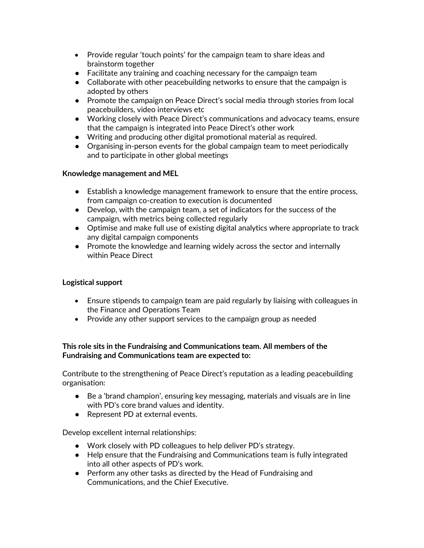- Provide regular 'touch points' for the campaign team to share ideas and brainstorm together
- Facilitate any training and coaching necessary for the campaign team
- Collaborate with other peacebuilding networks to ensure that the campaign is adopted by others
- Promote the campaign on Peace Direct's social media through stories from local peacebuilders, video interviews etc
- Working closely with Peace Direct's communications and advocacy teams, ensure that the campaign is integrated into Peace Direct's other work
- Writing and producing other digital promotional material as required.
- Organising in-person events for the global campaign team to meet periodically and to participate in other global meetings

#### **Knowledge management and MEL**

- Establish a knowledge management framework to ensure that the entire process, from campaign co-creation to execution is documented
- Develop, with the campaign team, a set of indicators for the success of the campaign, with metrics being collected regularly
- Optimise and make full use of existing digital analytics where appropriate to track any digital campaign components
- Promote the knowledge and learning widely across the sector and internally within Peace Direct

## **Logistical support**

- Ensure stipends to campaign team are paid regularly by liaising with colleagues in the Finance and Operations Team
- Provide any other support services to the campaign group as needed

## **This role sits in the Fundraising and Communications team. All members of the Fundraising and Communications team are expected to:**

Contribute to the strengthening of Peace Direct's reputation as a leading peacebuilding organisation:

- Be a 'brand champion', ensuring key messaging, materials and visuals are in line with PD's core brand values and identity.
- Represent PD at external events.

Develop excellent internal relationships:

- Work closely with PD colleagues to help deliver PD's strategy.
- Help ensure that the Fundraising and Communications team is fully integrated into all other aspects of PD's work.
- Perform any other tasks as directed by the Head of Fundraising and Communications, and the Chief Executive.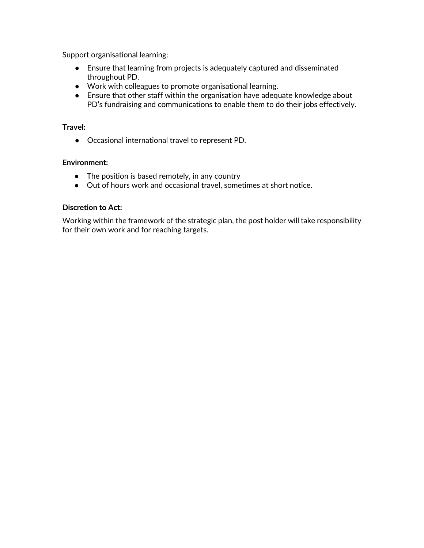Support organisational learning:

- Ensure that learning from projects is adequately captured and disseminated throughout PD.
- Work with colleagues to promote organisational learning.
- Ensure that other staff within the organisation have adequate knowledge about PD's fundraising and communications to enable them to do their jobs effectively.

#### **Travel:**

● Occasional international travel to represent PD.

#### **Environment:**

- The position is based remotely, in any country
- Out of hours work and occasional travel, sometimes at short notice.

#### **Discretion to Act:**

Working within the framework of the strategic plan, the post holder will take responsibility for their own work and for reaching targets.